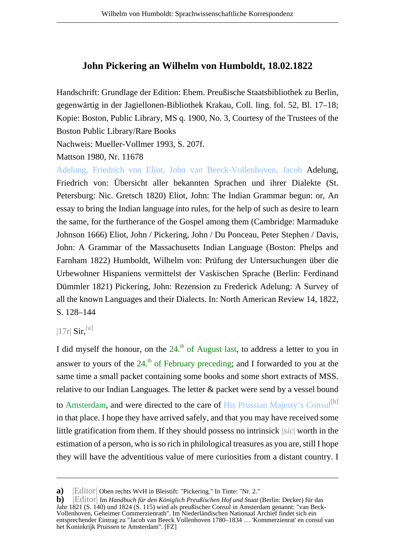## **John Pickering an Wilhelm von Humboldt, 18.02.1822**

Handschrift: Grundlage der Edition: Ehem. Preußische Staatsbibliothek zu Berlin, gegenwärtig in der Jagiellonen-Bibliothek Krakau, Coll. ling. fol. 52, Bl. 17–18; Kopie: Boston, Public Library, MS q. 1900, No. 3, Courtesy of the Trustees of the Boston Public Library/Rare Books

Nachweis: Mueller-Vollmer 1993, S. 207f.

Mattson 1980, Nr. 11678

Adelung, Friedrich von Eliot, John van Beeck-Vollenhoven, Jacob Adelung, Friedrich von: Übersicht aller bekannten Sprachen und ihrer Dialekte (St. Petersburg: Nic. Gretsch 1820) Eliot, John: The Indian Grammar begun: or, An essay to bring the Indian language into rules, for the help of such as desire to learn the same, for the furtherance of the Gospel among them (Cambridge: Marmaduke Johnson 1666) Eliot, John / Pickering, John / Du Ponceau, Peter Stephen / Davis, John: A Grammar of the Massachusetts Indian Language (Boston: Phelps and Farnham 1822) Humboldt, Wilhelm von: Prüfung der Untersuchungen über die Urbewohner Hispaniens vermittelst der Vaskischen Sprache (Berlin: Ferdinand Dümmler 1821) Pickering, John: Rezension zu Frederick Adelung: A Survey of all the known Languages and their Dialects. In: North American Review 14, 1822, S. 128–144

## $|17r|$  Sir.<sup>[a]</sup>

I did myself the honour, on the  $24<sup>th</sup>$  of August last, to address a letter to you in answer to yours of the  $24$ <sup>th</sup> of February preceding; and I forwarded to you at the same time a small packet containing some books and some short extracts of MSS. relative to our Indian Languages. The letter & packet were send by a vessel bound to Amsterdam, and were directed to the care of His Prussian Majesty's Consul<sup>[b]</sup> in that place. I hope they have arrived safely, and that you may have received some little gratification from them. If they should possess no intrinsick |*sic*| worth in the estimation of a person, who is so rich in philological treasures as you are, still I hope they will have the adventitious value of mere curiosities from a distant country. I

**a)** Editor | Oben rechts WvH in Bleistift: "Pickering." In Tinte: "Nr. 2."

**b)** |Editor| Im *Handbuch für den Königlich Preußischen Hof und Staat* (Berlin: Decker) für das Jahr 1821 (S. 140) und 1824 (S. 115) wird als preußischer Consul in Amsterdam genannt: "van Beck-Vollenhoven, Geheimer Commerzienrath". Im Niederländischen Nationaal Archief findet sich ein entsprechender Eintrag zu "Jacob van Beeck Vollenhoven 1780–1834 … 'Kommerzienrat' en consul van het Koninkrijk Pruissen te Amsterdam". [FZ]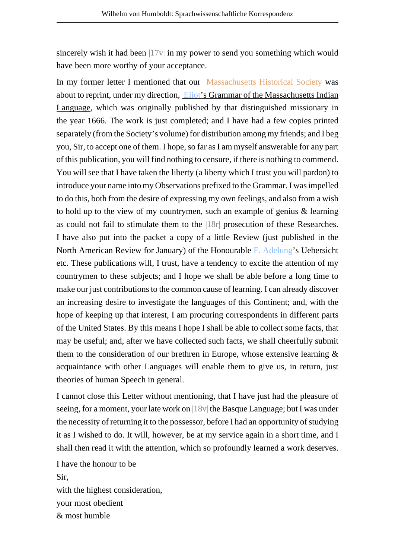sincerely wish it had been  $|17v|$  in my power to send you something which would have been more worthy of your acceptance.

In my former letter I mentioned that our Massachusetts Historical Society was about to reprint, under my direction, Eliot's Grammar of the Massachusetts Indian Language, which was originally published by that distinguished missionary in the year 1666. The work is just completed; and I have had a few copies printed separately (from the Society's volume) for distribution among my friends; and I beg you, Sir, to accept one of them. I hope, so far as I am myself answerable for any part of this publication, you will find nothing to censure, if there is nothing to commend. You will see that I have taken the liberty (a liberty which I trust you will pardon) to introduce your name into my Observations prefixed to the Grammar. I was impelled to do this, both from the desire of expressing my own feelings, and also from a wish to hold up to the view of my countrymen, such an example of genius & learning as could not fail to stimulate them to the |18r| prosecution of these Researches. I have also put into the packet a copy of a little Review (just published in the North American Review for January) of the Honourable F. Adelung's Uebersicht etc. These publications will, I trust, have a tendency to excite the attention of my countrymen to these subjects; and I hope we shall be able before a long time to make our just contributions to the common cause of learning. I can already discover an increasing desire to investigate the languages of this Continent; and, with the hope of keeping up that interest, I am procuring correspondents in different parts of the United States. By this means I hope I shall be able to collect some facts, that may be useful; and, after we have collected such facts, we shall cheerfully submit them to the consideration of our brethren in Europe, whose extensive learning & acquaintance with other Languages will enable them to give us, in return, just theories of human Speech in general.

I cannot close this Letter without mentioning, that I have just had the pleasure of seeing, for a moment, your late work on |18v| the Basque Language; but I was under the necessity of returning it to the possessor, before I had an opportunity of studying it as I wished to do. It will, however, be at my service again in a short time, and I shall then read it with the attention, which so profoundly learned a work deserves.

I have the honour to be Sir, with the highest consideration, your most obedient  $&$  most humble